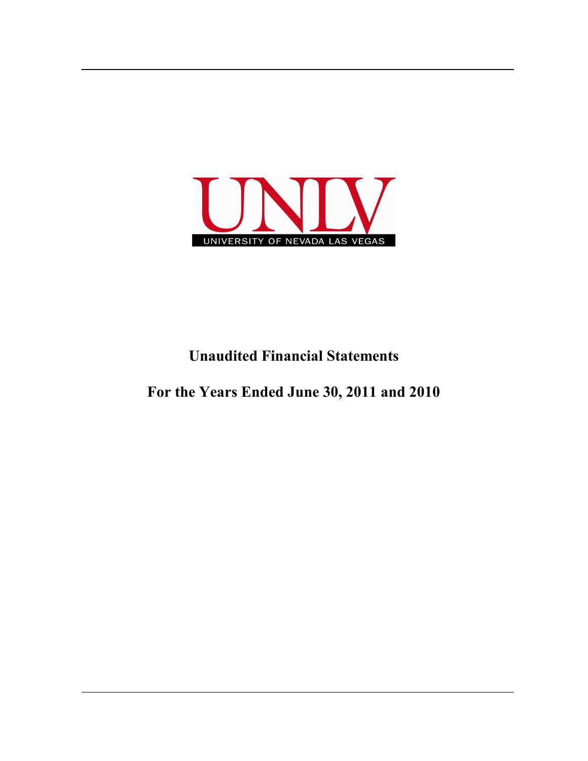

## **Unaudited Financial Statements**

**For the Years Ended June 30, 2011 and 2010**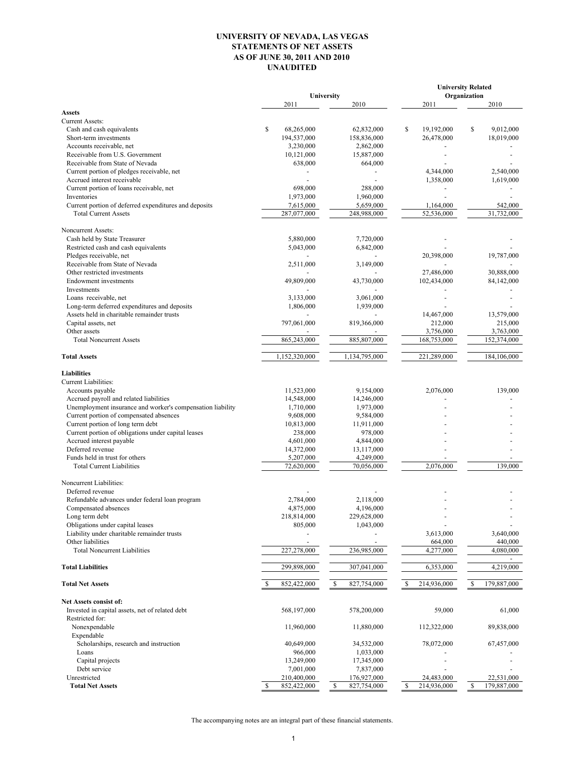## **UNIVERSITY OF NEVADA, LAS VEGAS STATEMENTS OF NET ASSETS AS OF JUNE 30, 2011 AND 2010 UNAUDITED**

|                                                                         |                         |                              | <b>University Related</b>   |                             |  |  |  |
|-------------------------------------------------------------------------|-------------------------|------------------------------|-----------------------------|-----------------------------|--|--|--|
|                                                                         | 2011                    | University<br>2010           | 2011                        | Organization<br>2010        |  |  |  |
| <b>Assets</b>                                                           |                         |                              |                             |                             |  |  |  |
| <b>Current Assets:</b>                                                  |                         |                              |                             |                             |  |  |  |
| Cash and cash equivalents                                               | \$<br>68,265,000        | 62,832,000                   | \$<br>19,192,000            | \$<br>9,012,000             |  |  |  |
| Short-term investments                                                  | 194,537,000             | 158,836,000                  | 26,478,000                  | 18,019,000                  |  |  |  |
| Accounts receivable, net                                                | 3,230,000               | 2,862,000                    |                             |                             |  |  |  |
| Receivable from U.S. Government                                         | 10,121,000              | 15,887,000                   |                             |                             |  |  |  |
| Receivable from State of Nevada                                         | 638,000                 | 664,000                      |                             |                             |  |  |  |
| Current portion of pledges receivable, net                              |                         |                              | 4,344,000                   | 2,540,000                   |  |  |  |
| Accrued interest receivable<br>Current portion of loans receivable, net | 698,000                 | 288,000                      | 1,358,000<br>$\blacksquare$ | 1,619,000                   |  |  |  |
| Inventories                                                             | 1,973,000               | 1,960,000                    |                             |                             |  |  |  |
| Current portion of deferred expenditures and deposits                   | 7,615,000               | 5,659,000                    | 1,164,000                   | 542,000                     |  |  |  |
| <b>Total Current Assets</b>                                             | 287,077,000             | 248,988,000                  | 52,536,000                  | 31,732,000                  |  |  |  |
| Noncurrent Assets:                                                      |                         |                              |                             |                             |  |  |  |
| Cash held by State Treasurer                                            | 5,880,000               | 7,720,000                    |                             |                             |  |  |  |
| Restricted cash and cash equivalents                                    | 5,043,000               | 6,842,000                    |                             |                             |  |  |  |
| Pledges receivable, net                                                 |                         |                              | 20,398,000                  | 19,787,000                  |  |  |  |
| Receivable from State of Nevada                                         | 2,511,000               | 3,149,000                    |                             |                             |  |  |  |
| Other restricted investments                                            |                         |                              | 27,486,000                  | 30,888,000                  |  |  |  |
| <b>Endowment</b> investments                                            | 49,809,000              | 43,730,000                   | 102,434,000                 | 84,142,000                  |  |  |  |
| Investments                                                             |                         |                              |                             |                             |  |  |  |
| Loans receivable, net                                                   | 3,133,000               | 3,061,000                    |                             |                             |  |  |  |
| Long-term deferred expenditures and deposits                            | 1,806,000               | 1,939,000                    |                             |                             |  |  |  |
| Assets held in charitable remainder trusts                              |                         |                              | 14,467,000                  | 13,579,000                  |  |  |  |
| Capital assets, net                                                     | 797,061,000             | 819,366,000                  | 212,000                     | 215,000                     |  |  |  |
| Other assets                                                            |                         |                              | 3,756,000                   | 3,763,000                   |  |  |  |
| <b>Total Noncurrent Assets</b>                                          | 865,243,000             | 885,807,000                  | 168,753,000                 | 152,374,000                 |  |  |  |
| <b>Total Assets</b>                                                     | 1,152,320,000           | 1,134,795,000                | 221,289,000                 | 184,106,000                 |  |  |  |
| <b>Liabilities</b>                                                      |                         |                              |                             |                             |  |  |  |
| Current Liabilities:                                                    |                         |                              |                             |                             |  |  |  |
| Accounts payable                                                        | 11,523,000              | 9,154,000                    | 2,076,000                   | 139,000                     |  |  |  |
| Accrued payroll and related liabilities                                 | 14,548,000              | 14,246,000                   |                             |                             |  |  |  |
| Unemployment insurance and worker's compensation liability              | 1,710,000               | 1,973,000                    |                             |                             |  |  |  |
| Current portion of compensated absences                                 | 9,608,000               | 9,584,000                    |                             |                             |  |  |  |
| Current portion of long term debt                                       | 10,813,000              | 11,911,000                   |                             |                             |  |  |  |
| Current portion of obligations under capital leases                     | 238,000                 | 978,000                      |                             |                             |  |  |  |
| Accrued interest payable                                                | 4,601,000               | 4,844,000                    |                             |                             |  |  |  |
| Deferred revenue                                                        | 14,372,000              | 13,117,000                   |                             |                             |  |  |  |
| Funds held in trust for others                                          | 5,207,000               | 4,249,000                    |                             |                             |  |  |  |
| <b>Total Current Liabilities</b>                                        | 72,620,000              | 70,056,000                   | 2,076,000                   | 139.000                     |  |  |  |
| Noncurrent Liabilities:                                                 |                         |                              |                             |                             |  |  |  |
| Deferred revenue                                                        |                         |                              |                             |                             |  |  |  |
| Refundable advances under federal loan program                          | 2,784,000               | 2,118,000                    |                             |                             |  |  |  |
| Compensated absences                                                    | 4,875,000               | 4,196,000                    |                             |                             |  |  |  |
| Long term debt                                                          | 218,814,000             | 229,628,000                  |                             |                             |  |  |  |
| Obligations under capital leases                                        | 805,000                 | 1,043,000                    |                             |                             |  |  |  |
| Liability under charitable remainder trusts                             |                         |                              | 3,613,000                   | 3,640,000                   |  |  |  |
| Other liabilities<br><b>Total Noncurrent Liabilities</b>                | 227,278,000             | 236,985,000                  | 664,000<br>4,277,000        | 440,000<br>4,080,000        |  |  |  |
|                                                                         |                         |                              |                             |                             |  |  |  |
| <b>Total Liabilities</b>                                                | 299,898,000             | 307,041,000                  | 6,353,000                   | 4,219,000                   |  |  |  |
| <b>Total Net Assets</b>                                                 | 852,422,000             | <sup>\$</sup><br>827,754,000 | 214,936,000<br>\$           | $\mathbb{S}$<br>179,887,000 |  |  |  |
| <b>Net Assets consist of:</b>                                           |                         |                              |                             |                             |  |  |  |
| Invested in capital assets, net of related debt                         | 568,197,000             | 578,200,000                  | 59,000                      | 61,000                      |  |  |  |
| Restricted for:                                                         |                         |                              |                             |                             |  |  |  |
| Nonexpendable                                                           | 11,960,000              | 11,880,000                   | 112,322,000                 | 89,838,000                  |  |  |  |
| Expendable                                                              |                         |                              |                             |                             |  |  |  |
| Scholarships, research and instruction                                  | 40,649,000              | 34,532,000                   | 78,072,000                  | 67,457,000                  |  |  |  |
| Loans                                                                   | 966,000                 | 1,033,000                    |                             |                             |  |  |  |
| Capital projects<br>Debt service                                        | 13,249,000<br>7,001,000 | 17,345,000<br>7,837,000      |                             |                             |  |  |  |
| Unrestricted                                                            | 210,400,000             | 176,927,000                  | 24,483,000                  | 22,531,000                  |  |  |  |
| <b>Total Net Assets</b>                                                 | 852,422,000<br>S        | <sup>\$</sup><br>827,754,000 | 214,936,000<br>\$           | S<br>179,887,000            |  |  |  |

The accompanying notes are an integral part of these financial statements.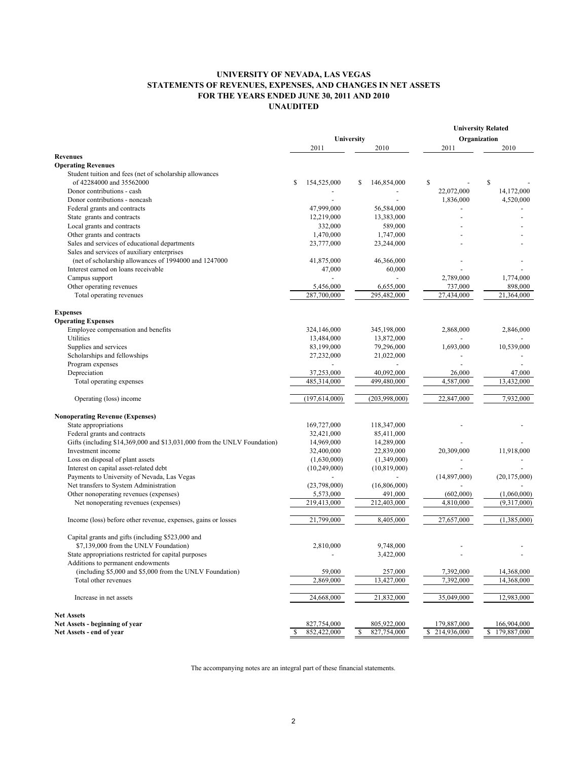## **UNIVERSITY OF NEVADA, LAS VEGAS STATEMENTS OF REVENUES, EXPENSES, AND CHANGES IN NET ASSETS FOR THE YEARS ENDED JUNE 30, 2011 AND 2010 UNAUDITED**

|                                                                          |            |                 |    | <b>University Related</b> |    |              |    |                |
|--------------------------------------------------------------------------|------------|-----------------|----|---------------------------|----|--------------|----|----------------|
|                                                                          | University |                 |    | Organization              |    |              |    |                |
|                                                                          |            | 2011            |    | 2010                      |    | 2011         |    | 2010           |
| <b>Revenues</b>                                                          |            |                 |    |                           |    |              |    |                |
| <b>Operating Revenues</b>                                                |            |                 |    |                           |    |              |    |                |
| Student tuition and fees (net of scholarship allowances                  |            |                 |    |                           |    |              |    |                |
| of 42284000 and 35562000                                                 | \$         | 154,525,000     | \$ | 146,854,000               | \$ |              | \$ |                |
| Donor contributions - cash                                               |            |                 |    |                           |    | 22,072,000   |    | 14,172,000     |
| Donor contributions - noncash                                            |            |                 |    |                           |    | 1,836,000    |    | 4,520,000      |
| Federal grants and contracts                                             |            | 47,999,000      |    | 56,584,000                |    |              |    |                |
| State grants and contracts                                               |            | 12,219,000      |    | 13,383,000                |    |              |    |                |
| Local grants and contracts                                               |            | 332,000         |    | 589,000                   |    |              |    |                |
| Other grants and contracts                                               |            | 1,470,000       |    | 1,747,000                 |    |              |    |                |
| Sales and services of educational departments                            |            | 23,777,000      |    | 23,244,000                |    |              |    |                |
| Sales and services of auxiliary enterprises                              |            |                 |    |                           |    |              |    |                |
| (net of scholarship allowances of 1994000 and 1247000                    |            | 41,875,000      |    | 46,366,000                |    |              |    |                |
| Interest earned on loans receivable                                      |            | 47,000          |    | 60,000                    |    |              |    |                |
| Campus support                                                           |            | $\overline{a}$  |    | $\overline{a}$            |    | 2,789,000    |    | 1,774,000      |
| Other operating revenues                                                 |            | 5,456,000       |    | 6,655,000                 |    | 737,000      |    | 898,000        |
| Total operating revenues                                                 |            | 287,700,000     |    | 295,482,000               |    | 27,434,000   |    | 21,364,000     |
|                                                                          |            |                 |    |                           |    |              |    |                |
| <b>Expenses</b>                                                          |            |                 |    |                           |    |              |    |                |
| <b>Operating Expenses</b>                                                |            |                 |    |                           |    |              |    |                |
| Employee compensation and benefits                                       |            | 324,146,000     |    | 345,198,000               |    | 2,868,000    |    | 2,846,000      |
| Utilities                                                                |            | 13,484,000      |    | 13,872,000                |    |              |    |                |
| Supplies and services                                                    |            | 83,199,000      |    | 79,296,000                |    | 1,693,000    |    | 10,539,000     |
| Scholarships and fellowships                                             |            | 27,232,000      |    | 21,022,000                |    |              |    |                |
| Program expenses                                                         |            |                 |    |                           |    |              |    |                |
| Depreciation                                                             |            | 37,253,000      |    | 40,092,000                |    | 26,000       |    | 47,000         |
| Total operating expenses                                                 |            | 485,314,000     |    | 499,480,000               |    | 4,587,000    |    | 13,432,000     |
| Operating (loss) income                                                  |            | (197, 614, 000) |    | (203,998,000)             |    | 22,847,000   |    | 7,932,000      |
| <b>Nonoperating Revenue (Expenses)</b>                                   |            |                 |    |                           |    |              |    |                |
| State appropriations                                                     |            | 169,727,000     |    | 118,347,000               |    |              |    |                |
| Federal grants and contracts                                             |            | 32,421,000      |    | 85,411,000                |    |              |    |                |
| Gifts (including \$14,369,000 and \$13,031,000 from the UNLV Foundation) |            | 14,969,000      |    | 14,289,000                |    |              |    |                |
| Investment income                                                        |            | 32,400,000      |    | 22,839,000                |    | 20,309,000   |    | 11,918,000     |
| Loss on disposal of plant assets                                         |            | (1,630,000)     |    | (1,349,000)               |    |              |    |                |
| Interest on capital asset-related debt                                   |            | (10, 249, 000)  |    | (10, 819, 000)            |    |              |    |                |
| Payments to University of Nevada, Las Vegas                              |            |                 |    |                           |    | (14,897,000) |    | (20, 175, 000) |
| Net transfers to System Administration                                   |            | (23,798,000)    |    | (16,806,000)              |    |              |    |                |
| Other nonoperating revenues (expenses)                                   |            | 5,573,000       |    | 491,000                   |    | (602,000)    |    | (1,060,000)    |
| Net nonoperating revenues (expenses)                                     |            | 219,413,000     |    | 212,403,000               |    | 4.810.000    |    | (9,317,000)    |
|                                                                          |            |                 |    |                           |    |              |    |                |
| Income (loss) before other revenue, expenses, gains or losses            |            | 21,799,000      |    | 8,405,000                 |    | 27,657,000   |    | (1,385,000)    |
| Capital grants and gifts (including \$523,000 and                        |            |                 |    |                           |    |              |    |                |
| \$7,139,000 from the UNLV Foundation)                                    |            | 2,810,000       |    | 9,748,000                 |    |              |    |                |
| State appropriations restricted for capital purposes                     |            |                 |    | 3,422,000                 |    |              |    |                |
| Additions to permanent endowments                                        |            |                 |    |                           |    |              |    |                |
| (including \$5,000 and \$5,000 from the UNLV Foundation)                 |            | 59,000          |    | 257,000                   |    | 7,392,000    |    | 14,368,000     |
| Total other revenues                                                     |            | 2,869,000       |    | 13,427,000                |    | 7,392,000    |    | 14,368,000     |
| Increase in net assets                                                   |            | 24,668,000      |    | 21,832,000                |    | 35,049,000   |    | 12,983,000     |
| <b>Net Assets</b>                                                        |            |                 |    |                           |    |              |    |                |
| Net Assets - beginning of year                                           |            | 827,754,000     |    | 805,922,000               |    | 179,887,000  |    | 166,904,000    |
| Net Assets - end of year                                                 | S          | 852,422,000     | \$ | 827,754,000               | \$ | 214,936,000  | \$ | 179,887,000    |

The accompanying notes are an integral part of these financial statements.